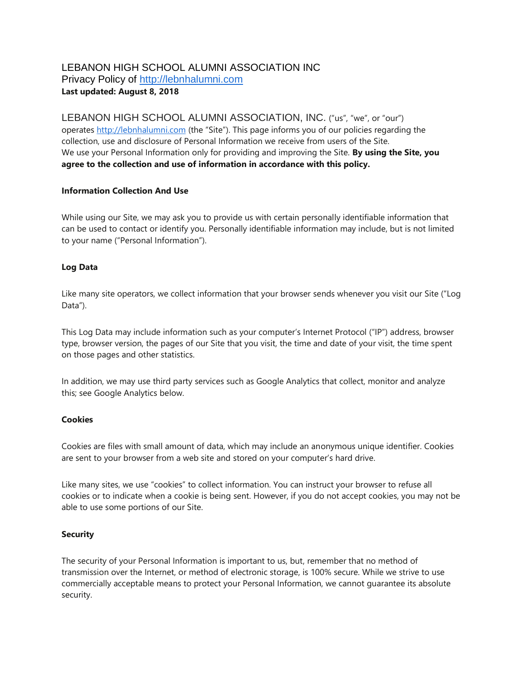# LEBANON HIGH SCHOOL ALUMNI ASSOCIATION INC Privacy Policy of [http://lebnhalumni.com](http://lebnhalumni.com/) **Last updated: August 8, 2018**

LEBANON HIGH SCHOOL ALUMNI ASSOCIATION, INC. ("us", "we", or "our") operates [http://lebnhalumni.com](http://lebnhalumni.com/) (the "Site"). This page informs you of our policies regarding the collection, use and disclosure of Personal Information we receive from users of the Site. We use your Personal Information only for providing and improving the Site. **By using the Site, you agree to the collection and use of information in accordance with this policy.**

## **Information Collection And Use**

While using our Site, we may ask you to provide us with certain personally identifiable information that can be used to contact or identify you. Personally identifiable information may include, but is not limited to your name ("Personal Information").

## **Log Data**

Like many site operators, we collect information that your browser sends whenever you visit our Site ("Log Data").

This Log Data may include information such as your computer's Internet Protocol ("IP") address, browser type, browser version, the pages of our Site that you visit, the time and date of your visit, the time spent on those pages and other statistics.

In addition, we may use third party services such as Google Analytics that collect, monitor and analyze this; see Google Analytics below.

## **Cookies**

Cookies are files with small amount of data, which may include an anonymous unique identifier. Cookies are sent to your browser from a web site and stored on your computer's hard drive.

Like many sites, we use "cookies" to collect information. You can instruct your browser to refuse all cookies or to indicate when a cookie is being sent. However, if you do not accept cookies, you may not be able to use some portions of our Site.

## **Security**

The security of your Personal Information is important to us, but, remember that no method of transmission over the Internet, or method of electronic storage, is 100% secure. While we strive to use commercially acceptable means to protect your Personal Information, we cannot guarantee its absolute security.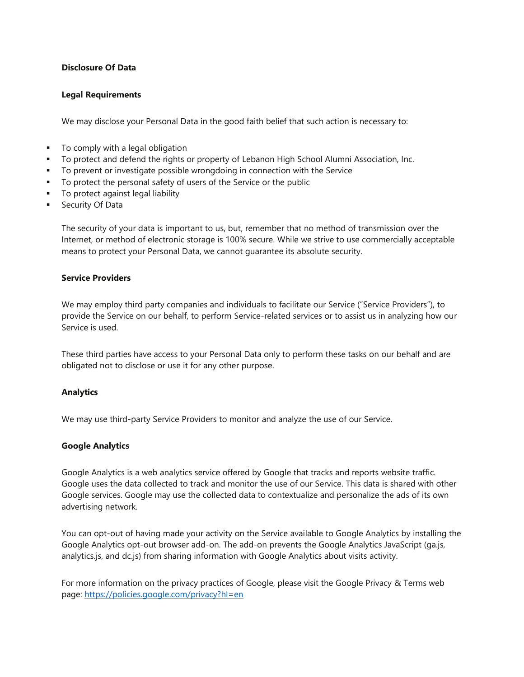### **Disclosure Of Data**

### **Legal Requirements**

We may disclose your Personal Data in the good faith belief that such action is necessary to:

- To comply with a legal obligation
- To protect and defend the rights or property of Lebanon High School Alumni Association, Inc.
- To prevent or investigate possible wrongdoing in connection with the Service
- To protect the personal safety of users of the Service or the public
- To protect against legal liability
- Security Of Data

The security of your data is important to us, but, remember that no method of transmission over the Internet, or method of electronic storage is 100% secure. While we strive to use commercially acceptable means to protect your Personal Data, we cannot guarantee its absolute security.

### **Service Providers**

We may employ third party companies and individuals to facilitate our Service ("Service Providers"), to provide the Service on our behalf, to perform Service-related services or to assist us in analyzing how our Service is used.

These third parties have access to your Personal Data only to perform these tasks on our behalf and are obligated not to disclose or use it for any other purpose.

#### **Analytics**

We may use third-party Service Providers to monitor and analyze the use of our Service.

#### **Google Analytics**

Google Analytics is a web analytics service offered by Google that tracks and reports website traffic. Google uses the data collected to track and monitor the use of our Service. This data is shared with other Google services. Google may use the collected data to contextualize and personalize the ads of its own advertising network.

You can opt-out of having made your activity on the Service available to Google Analytics by installing the Google Analytics opt-out browser add-on. The add-on prevents the Google Analytics JavaScript (ga.js, analytics.js, and dc.js) from sharing information with Google Analytics about visits activity.

For more information on the privacy practices of Google, please visit the Google Privacy & Terms web page: <https://policies.google.com/privacy?hl=en>